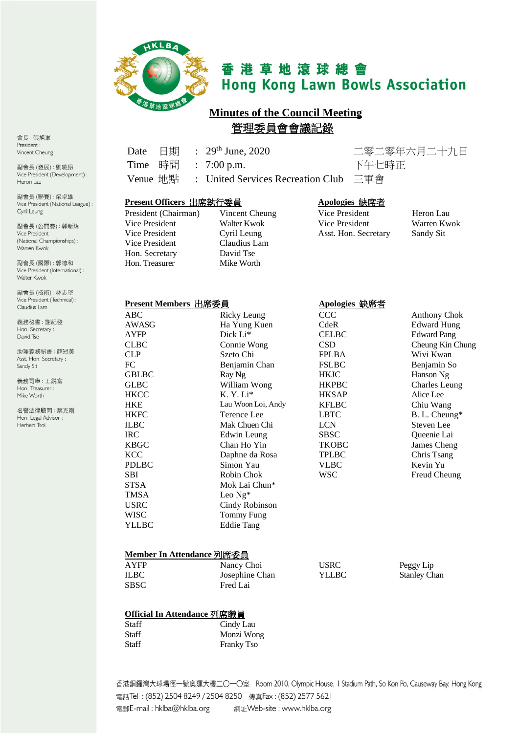

## 香港草地滾球總會 **Hong Kong Lawn Bowls Association**

## **Minutes of the Council Meeting**  管理委員會會議記錄

會長:張旭峯 President: Vincent Cheung

副會長(發展):劉曉昂 Vice President (Development) : Heron Lau

副會長(聯賽):梁卓雄 Vice President (National League) : Cyril Leung

副會長(公開賽): 郭新煒 Vice President (National Championships): Warren Kwok

副會長(國際): 郭德和 Vice President (International) : Walter Kwok

副會長(技術):林志堅 Vice President (Technical) : Claudius Lam

義務秘書:謝紀發 Hon. Secretary: David Tse

助理義務秘書:薛冠美 Asst. Hon. Secretary : Sandy Sit

義務司庫:王鋭富 Hon. Treasurer : Mike Worth

名譽法律顧問:蔡克剛 Hon. Legal Advisor : Herbert Tsoi

# Date 日期 : 29th June, 2020 二零二零年六月二十九日

Claudius Lam<br>David Tse

Time 時間 : 7:00 p.m. 下午七時正

Hon. Secretary David Tse<br>
Hon. Treasurer Mike Worth

Hon. Treasurer

Venue 地點 : United Services Recreation Club 三軍會

**Present Officers** 出席執行委員 **Apologies** 缺席者

President (Chairman) Vincent Cheung Vice President Heron Lau Vice President Heron Lau Vice President Nunch Nunch Nunch Nunch Nunch Nunch Nunch Nunch Nunch Nunch Nunch Nunch Nunch Nunch Nunch Nunch Nunch Nunch Nunch Nunch N Vice President Walter Kwok Vice President Warren Kwok Vice President Warren Kwok Vice President Warren Kwok Vice President Warren Kwok Vice President Warren Kwok Vice President Warren Kwok Vice President Warren Kwok Vice P Vice President Cyril Leung Asst. Hon. Secretary<br>
Vice President Claudius Lam

| Present Members 出席委員 |                    | Apologies 缺席者 |                      |
|----------------------|--------------------|---------------|----------------------|
| ABC                  | Ricky Leung        | CCC           | <b>Anthony Chok</b>  |
| AWASG                | Ha Yung Kuen       | CdeR          | <b>Edward Hung</b>   |
| <b>AYFP</b>          | $Dick Li^*$        | <b>CELBC</b>  | <b>Edward Pang</b>   |
| <b>CLBC</b>          | Connie Wong        | <b>CSD</b>    | Cheung Kin Chung     |
| <b>CLP</b>           | Szeto Chi          | <b>FPLBA</b>  | Wivi Kwan            |
| FC                   | Benjamin Chan      | <b>FSLBC</b>  | Benjamin So          |
| <b>GBLBC</b>         | Ray Ng             | <b>HKJC</b>   | Hanson Ng            |
| <b>GLBC</b>          | William Wong       | <b>HKPBC</b>  | <b>Charles Leung</b> |
| <b>HKCC</b>          | $K. Y. Li*$        | <b>HKSAP</b>  | Alice Lee            |
| <b>HKE</b>           | Lau Woon Loi, Andy | <b>KFLBC</b>  | Chiu Wang            |
| <b>HKFC</b>          | Terence Lee        | <b>LBTC</b>   | B. L. Cheung*        |
| <b>ILBC</b>          | Mak Chuen Chi      | <b>LCN</b>    | Steven Lee           |
| IRC.                 | Edwin Leung        | <b>SBSC</b>   | Queenie Lai          |
| <b>KBGC</b>          | Chan Ho Yin        | <b>TKOBC</b>  | James Cheng          |
| <b>KCC</b>           | Daphne da Rosa     | <b>TPLBC</b>  | Chris Tsang          |
| <b>PDLBC</b>         | Simon Yau          | <b>VLBC</b>   | Kevin Yu             |
| <b>SBI</b>           | Robin Chok         | <b>WSC</b>    | Freud Cheung         |
| <b>STSA</b>          | Mok Lai Chun*      |               |                      |
| <b>TMSA</b>          | Leo $Ng^*$         |               |                      |
| <b>USRC</b>          | Cindy Robinson     |               |                      |
| <b>WISC</b>          | Tommy Fung         |               |                      |
| YLLBC                | <b>Eddie Tang</b>  |               |                      |
|                      |                    |               |                      |

#### **Member In Attendance** 列席委員

| AYFP        | Nancy Choi     | USRC  | Peggy Lip           |
|-------------|----------------|-------|---------------------|
| <b>ILBC</b> | Josephine Chan | YLLBC | <b>Stanley Chan</b> |
| <b>SBSC</b> | Fred Lai       |       |                     |

#### **Official In Attendance** 列席職員

| <b>Staff</b> | Cindy Lau  |
|--------------|------------|
| Staff        | Monzi Wong |
| Staff        | Franky Tso |

香港銅鑼灣大球場徑一號奧運大樓二〇一〇室 Room 2010, Olympic House, I Stadium Path, So Kon Po, Causeway Bay, Hong Kong 電話Tel: (852) 2504 8249 / 2504 8250 傳真Fax: (852) 2577 5621 電郵E-mail: hklba@hklba.org 網址Web-site: www.hklba.org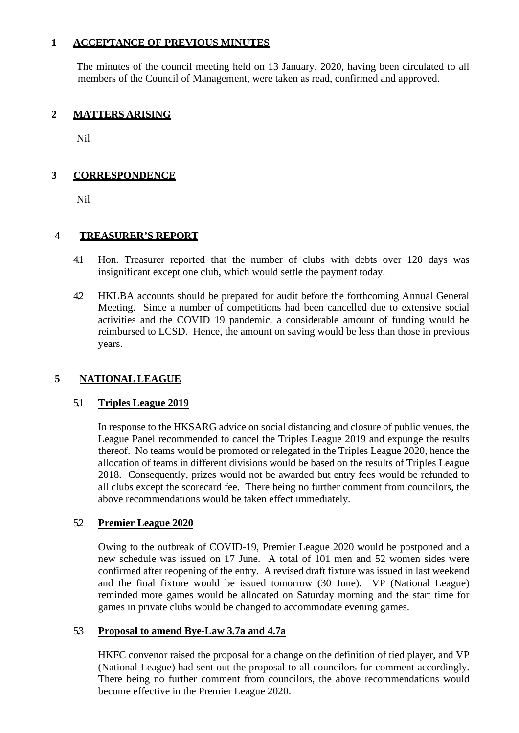## **1 ACCEPTANCE OF PREVIOUS MINUTES**

The minutes of the council meeting held on 13 January, 2020, having been circulated to all members of the Council of Management, were taken as read, confirmed and approved.

## **2 MATTERS ARISING**

Nil

## **3 CORRESPONDENCE**

Nil

## **4 TREASURER'S REPORT**

- 4.1 Hon. Treasurer reported that the number of clubs with debts over 120 days was insignificant except one club, which would settle the payment today.
- 4.2 HKLBA accounts should be prepared for audit before the forthcoming Annual General Meeting. Since a number of competitions had been cancelled due to extensive social activities and the COVID 19 pandemic, a considerable amount of funding would be reimbursed to LCSD. Hence, the amount on saving would be less than those in previous years.

## **5 NATIONAL LEAGUE**

### 5.1 **Triples League 2019**

In response to the HKSARG advice on social distancing and closure of public venues, the League Panel recommended to cancel the Triples League 2019 and expunge the results thereof. No teams would be promoted or relegated in the Triples League 2020, hence the allocation of teams in different divisions would be based on the results of Triples League 2018. Consequently, prizes would not be awarded but entry fees would be refunded to all clubs except the scorecard fee. There being no further comment from councilors, the above recommendations would be taken effect immediately.

### 5.2 **Premier League 2020**

Owing to the outbreak of COVID-19, Premier League 2020 would be postponed and a new schedule was issued on 17 June. A total of 101 men and 52 women sides were confirmed after reopening of the entry. A revised draft fixture was issued in last weekend and the final fixture would be issued tomorrow (30 June). VP (National League) reminded more games would be allocated on Saturday morning and the start time for games in private clubs would be changed to accommodate evening games.

### 5.3 **Proposal to amend Bye-Law 3.7a and 4.7a**

HKFC convenor raised the proposal for a change on the definition of tied player, and VP (National League) had sent out the proposal to all councilors for comment accordingly. There being no further comment from councilors, the above recommendations would become effective in the Premier League 2020.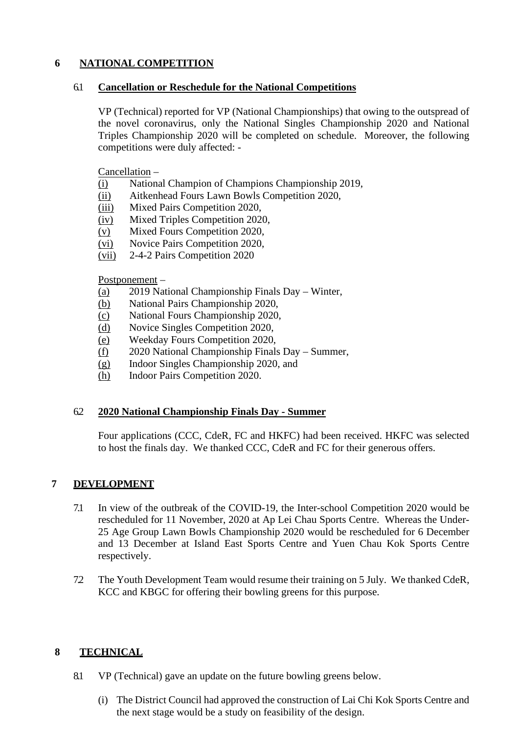## **6 NATIONAL COMPETITION**

## 6.1 **Cancellation or Reschedule for the National Competitions**

VP (Technical) reported for VP (National Championships) that owing to the outspread of the novel coronavirus, only the National Singles Championship 2020 and National Triples Championship 2020 will be completed on schedule. Moreover, the following competitions were duly affected: -

Cancellation –

- (i) National Champion of Champions Championship 2019,
- (ii) Aitkenhead Fours Lawn Bowls Competition 2020,
- (iii) Mixed Pairs Competition 2020,
- (iv) Mixed Triples Competition 2020,
- (v) Mixed Fours Competition 2020,
- (vi) Novice Pairs Competition 2020,
- (vii) 2-4-2 Pairs Competition 2020

Postponement –

- (a) 2019 National Championship Finals Day Winter,
- (b) National Pairs Championship 2020,
- (c) National Fours Championship 2020,
- (d) Novice Singles Competition 2020,
- (e) Weekday Fours Competition 2020,
- (f) 2020 National Championship Finals Day Summer,
- (g) Indoor Singles Championship 2020, and
- (h) Indoor Pairs Competition 2020.

### 6.2 **2020 National Championship Finals Day - Summer**

Four applications (CCC, CdeR, FC and HKFC) had been received. HKFC was selected to host the finals day. We thanked CCC, CdeR and FC for their generous offers.

## **7 DEVELOPMENT**

- 7.1 In view of the outbreak of the COVID-19, the Inter-school Competition 2020 would be rescheduled for 11 November, 2020 at Ap Lei Chau Sports Centre. Whereas the Under-25 Age Group Lawn Bowls Championship 2020 would be rescheduled for 6 December and 13 December at Island East Sports Centre and Yuen Chau Kok Sports Centre respectively.
- 7.2 The Youth Development Team would resume their training on 5 July. We thanked CdeR, KCC and KBGC for offering their bowling greens for this purpose.

## **8 TECHNICAL**

- 8.1 VP (Technical) gave an update on the future bowling greens below.
	- (i) The District Council had approved the construction of Lai Chi Kok Sports Centre and the next stage would be a study on feasibility of the design.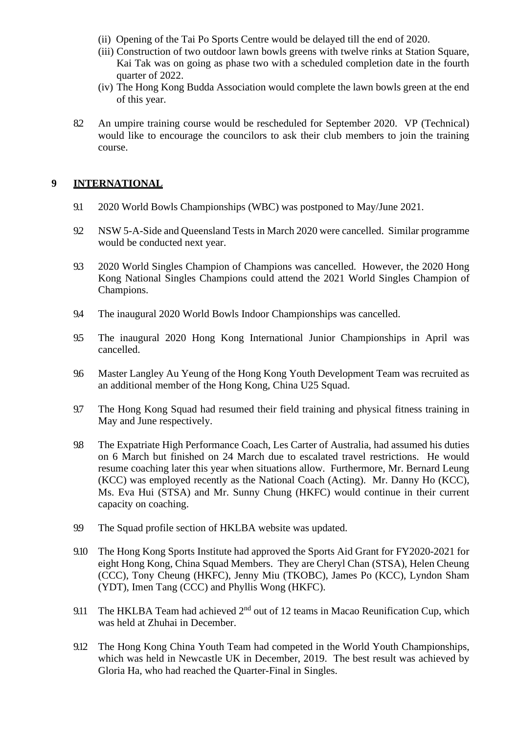- (ii) Opening of the Tai Po Sports Centre would be delayed till the end of 2020.
- (iii) Construction of two outdoor lawn bowls greens with twelve rinks at Station Square, Kai Tak was on going as phase two with a scheduled completion date in the fourth quarter of 2022.
- (iv) The Hong Kong Budda Association would complete the lawn bowls green at the end of this year.
- 8.2 An umpire training course would be rescheduled for September 2020. VP (Technical) would like to encourage the councilors to ask their club members to join the training course.

## **9 INTERNATIONAL**

- 9.1 2020 World Bowls Championships (WBC) was postponed to May/June 2021.
- 9.2 NSW 5-A-Side and Queensland Tests in March 2020 were cancelled. Similar programme would be conducted next year.
- 9.3 2020 World Singles Champion of Champions was cancelled. However, the 2020 Hong Kong National Singles Champions could attend the 2021 World Singles Champion of Champions.
- 9.4 The inaugural 2020 World Bowls Indoor Championships was cancelled.
- 9.5 The inaugural 2020 Hong Kong International Junior Championships in April was cancelled.
- 9.6 Master Langley Au Yeung of the Hong Kong Youth Development Team was recruited as an additional member of the Hong Kong, China U25 Squad.
- 9.7 The Hong Kong Squad had resumed their field training and physical fitness training in May and June respectively.
- 9.8 The Expatriate High Performance Coach, Les Carter of Australia, had assumed his duties on 6 March but finished on 24 March due to escalated travel restrictions. He would resume coaching later this year when situations allow. Furthermore, Mr. Bernard Leung (KCC) was employed recently as the National Coach (Acting). Mr. Danny Ho (KCC), Ms. Eva Hui (STSA) and Mr. Sunny Chung (HKFC) would continue in their current capacity on coaching.
- 9.9 The Squad profile section of HKLBA website was updated.
- 9.10 The Hong Kong Sports Institute had approved the Sports Aid Grant for FY2020-2021 for eight Hong Kong, China Squad Members. They are Cheryl Chan (STSA), Helen Cheung (CCC), Tony Cheung (HKFC), Jenny Miu (TKOBC), James Po (KCC), Lyndon Sham (YDT), Imen Tang (CCC) and Phyllis Wong (HKFC).
- 9.11 The HKLBA Team had achieved  $2<sup>nd</sup>$  out of 12 teams in Macao Reunification Cup, which was held at Zhuhai in December.
- 9.12 The Hong Kong China Youth Team had competed in the World Youth Championships, which was held in Newcastle UK in December, 2019. The best result was achieved by Gloria Ha, who had reached the Quarter-Final in Singles.